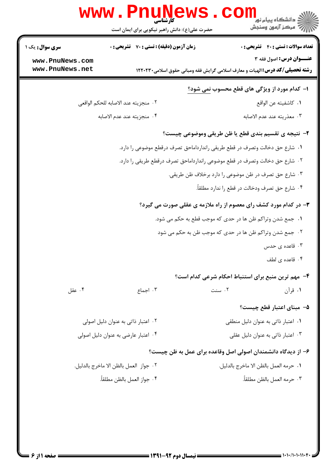| W W W                                                                        | کارشناسی<br>حضرت علی(ع): دانش راهبر نیکویی برای ایمان است | <mark>ڪ دانشڪاه پيام نور</mark><br>7' مرڪز آزمون وسنڊش                                                                   |  |  |
|------------------------------------------------------------------------------|-----------------------------------------------------------|--------------------------------------------------------------------------------------------------------------------------|--|--|
| سری سوال: یک ۱                                                               | <b>زمان آزمون (دقیقه) : تستی : 70 ٪ تشریحی : 0</b>        | <b>تعداد سوالات : تستی : 40 قشریحی : 0</b>                                                                               |  |  |
| www.PnuNews.com<br>www.PnuNews.net                                           |                                                           | <b>عنـــوان درس:</b> اصول فقه ۳<br><b>رشته تحصیلی/کد درس: ا</b> لهیات و معارف اسلامی گرایش فقه ومبانی حقوق اسلامی۱۲۲۰۲۳۰ |  |  |
|                                                                              |                                                           | ۱– کدام مورد از ویژگی های قطع محسوب نمی شود؟                                                                             |  |  |
|                                                                              | ۰۲ منجزيته عند الاصابه للحكم الواقعي                      | ٠١. كاشفيته عن الواقع                                                                                                    |  |  |
|                                                                              | ۰۴ منجزيته عند عدم الاصابه                                | ٠٣ معذريته عند عدم الاصابه                                                                                               |  |  |
| ۲- نتیجه ی تقسیم بندی قطع یا ظن طریقی وموضوعی چیست؟                          |                                                           |                                                                                                                          |  |  |
| ٠١. شارع حق دخالت وتصرف در قطع طريقي راندارداماحق تصرف درقطع موضوعي را دارد. |                                                           |                                                                                                                          |  |  |
| ٠٢ شارع حق دخالت وتصرف در قطع موضوعي راندارداماحق تصرف درقطع طريقي را دارد.  |                                                           |                                                                                                                          |  |  |
|                                                                              |                                                           | ۰۳ شارع حق تصرف در ظن موضوعی را دارد برخلاف ظن طریقی.                                                                    |  |  |
|                                                                              |                                                           | ۰۴ شارع حق تصرف ودخالت در قطع را ندارد مطلقاً.                                                                           |  |  |
| ۳- در کدام مورد کشف رای معصوم از راه ملازمه ی عقلی صورت می گیرد؟             |                                                           |                                                                                                                          |  |  |
| ٠١. جمع شدن وتراكم ظن ها در حدى كه موجب قطع به حكم مي شود.                   |                                                           |                                                                                                                          |  |  |
|                                                                              |                                                           | ۰۲ جمع شدن وتراکم ظن ها در حدی که موجب ظن به حکم می شود                                                                  |  |  |
|                                                                              |                                                           | ۰۳ قاعده ی حدس                                                                                                           |  |  |
|                                                                              |                                                           | ۰۴ قاعده ی لطف                                                                                                           |  |  |
|                                                                              |                                                           | ۴- مهم ترین منبع برای استنباط احکام شرعی کدام است؟                                                                       |  |  |
| ۰۴ عقل                                                                       | ۰۳ اجماع                                                  | ۰۱ قرآن<br>۰۲ سنت                                                                                                        |  |  |
|                                                                              |                                                           | ۵–  مبنای اعتبار قطع چیست؟                                                                                               |  |  |
| ۰۲ اعتبار ذاتی به عنوان دلیل اصولی                                           |                                                           | ۰۱ اعتبار ذاتی به عنوان دلیل منطقی                                                                                       |  |  |
| ۰۴ اعتبار عارضي به عنوان دليل اصولي                                          |                                                           | ۰۳ اعتبار ذاتی به عنوان دلیل عقلی                                                                                        |  |  |
| ۶– از دیدگاه دانشمندان اصولی اصل وقاعده برای عمل به ظن چیست؟                 |                                                           |                                                                                                                          |  |  |
| ٢.  جواز  العمل بالظن الا ماخرج بالدليل.                                     |                                                           | ٠١. حرمه العمل بالظن الا ماخرج بالدليل.                                                                                  |  |  |
|                                                                              | ۴. جواز العمل بالظن مطلقاً.                               | ٠٣ حرمه العمل بالظن مطلقاً.                                                                                              |  |  |
|                                                                              |                                                           |                                                                                                                          |  |  |

a Jan And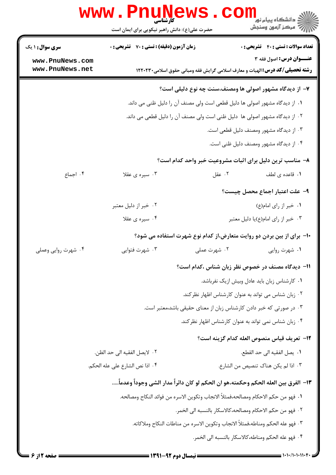|                                                         | www.PnuNews<br>حضرت علی(ع): دانش راهبر نیکویی برای ایمان است                        |              | ڪ دانشڪاه پيا <sub>م</sub> نور<br><mark>√</mark> مرڪز آزمون وسنڊش                                                      |
|---------------------------------------------------------|-------------------------------------------------------------------------------------|--------------|------------------------------------------------------------------------------------------------------------------------|
| <b>سری سوال : ۱ یک</b>                                  | <b>زمان آزمون (دقیقه) : تستی : 70 قشریحی : 0</b>                                    |              | <b>تعداد سوالات : تستي : 40 - تشريحي : 0</b>                                                                           |
| www.PnuNews.com<br>www.PnuNews.net                      |                                                                                     |              | <b>عنـــوان درس:</b> اصول فقه ۳<br><b>رشته تحصیلی/کد درس:</b> الهیات و معارف اسلامی گرایش فقه ومبانی حقوق اسلامی۲۲۰۲۳۰ |
| ۷- از دیدگاه مشهور اصولی ها ومصنف،سنت چه نوع دلیلی است؟ |                                                                                     |              |                                                                                                                        |
|                                                         |                                                                                     |              | ۰۱ از دیدگاه مشهور اصولی ها دلیل قطعی است ولی مصنف آن را دلیل ظنی می داند.                                             |
|                                                         |                                                                                     |              | ٢٠ از ديدگاه مشهور اصولي ها  دليل ظني است ولي مصنف آن را دليل قطعي مي داند.                                            |
|                                                         |                                                                                     |              | ۰۳ از دیدگاه مشهور ومصنف دلیل قطعی است.                                                                                |
|                                                         |                                                                                     |              | ۰۴ از دیدگاه مشهور ومصنف دلیل ظنی است.                                                                                 |
|                                                         |                                                                                     |              | ۸– مناسب ترین دلیل برای اثبات مشروعیت خبر واحد کدام است؟                                                               |
| ۰۴ اجماع                                                | ۰۳ سیره ی عقلا                                                                      | ۰۲ عقل       | ٠١. قاعده ی لطف                                                                                                        |
|                                                         |                                                                                     |              | ۹- علت اعتبار اجماع محصل چیست؟                                                                                         |
|                                                         | ۰۲ خبر از دلیل معتبر                                                                |              | ۰۱ خبر از رای امام(ع)                                                                                                  |
|                                                         | ۰۴ سیره ی عقلا                                                                      |              | ۰۳ خبر از رای امام(ع)یا دلیل معتبر                                                                                     |
|                                                         |                                                                                     |              | ∙ا− برای از بین بردن دو روایت متعارض،از کدام نوع شهرت استفاده می شود؟                                                  |
| ۰۴ شهرت روایی وعملی                                     | ۰۳ شهرت فتوايي                                                                      | ۰۲ شهرت عملی | ۰۱ شهرت روايي                                                                                                          |
|                                                         |                                                                                     |              | 11– دیدگاه مصنف در خصوص نظر زبان شناس ،کدام است؟                                                                       |
|                                                         |                                                                                     |              | ٠١ كارشناس زبان بايد عادل وبيش ازيك نفرباشد.                                                                           |
|                                                         |                                                                                     |              | ۰۲ زبان شناس می تواند به عنوان کارشناس اظهار نظر کند.                                                                  |
|                                                         |                                                                                     |              | ۰۳ در صورتی که خبر دادن کارشناس زبان از معنای حقیقی باشد،معتبر است.                                                    |
|                                                         |                                                                                     |              | ۰۴ زبان شناس نمی تواند به عنوان کارشناس اظهار نظرکند.                                                                  |
|                                                         |                                                                                     |              | 1۲– تعريف قياس منصوص العله كدام گزينه است؟                                                                             |
|                                                         | ٢. لايصل الفقيه الى حد الظن.                                                        |              | ٠١. يصل الفقيه الى حد القطع.                                                                                           |
|                                                         | ۴. اذا نص الشارع على عله الحكم.                                                     |              | ٠٣ اذا لم يكن هناك تنصيص من الشارع.                                                                                    |
|                                                         | ١٣– الفرق بين العله الحكم وحكمته،هو ان الحكم لو كان دائراً مدار الشي وجوداً وعدماً… |              |                                                                                                                        |
|                                                         | ١. فهو من حكم الاحكام ومصالحه،فمثلاً الانجاب وتكوين الاسره من فوائد النكاح ومصالحه. |              |                                                                                                                        |
|                                                         |                                                                                     |              | ٢. فهو من حكم الاحكام ومصالحه،كالاسكار بالنسبه الى الخمر.                                                              |
|                                                         |                                                                                     |              | ٣. فهو عله الحكم ومناطه،فمثلاً الانجاب وتكوين الاسره من مناطات النكاح وملاكاته.                                        |
|                                                         |                                                                                     |              | ۴. فهو عله الحكم ومناطه،كالاسكار بالنسبه الى الخمر.                                                                    |
|                                                         |                                                                                     |              |                                                                                                                        |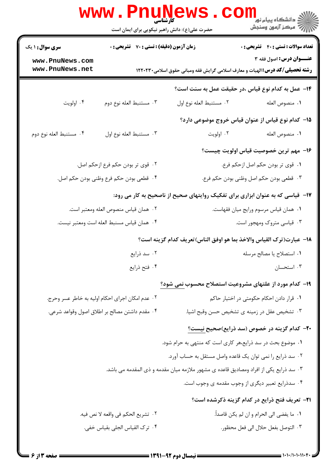|                                                                                | <b>www.Pnune</b><br>حضرت علی(ع): دانش راهبر نیکویی برای ایمان است |                                                                                        | دانشگاه پیام نور<br>ا∜ مرکز آزمهن وسنجش                                                                        |
|--------------------------------------------------------------------------------|-------------------------------------------------------------------|----------------------------------------------------------------------------------------|----------------------------------------------------------------------------------------------------------------|
| <b>سری سوال : ۱ یک</b>                                                         | زمان آزمون (دقیقه) : تستی : 70 گشریحی : 0                         |                                                                                        | <b>تعداد سوالات : تستی : 40 قشریحی : 0</b>                                                                     |
| www.PnuNews.com<br>www.PnuNews.net                                             |                                                                   |                                                                                        | عنــوان درس: اصول فقه ٣<br><b>رشته تحصیلی/کد درس:</b> الهیات و معارف اسلامی گرایش فقه ومبانی حقوق اسلامی۲۲۰۲۳۰ |
|                                                                                |                                                                   |                                                                                        | 1۴– عمل به کدام نوع قیاس ،در حقیقت عمل به سنت است؟                                                             |
| ۰۴ اولويت                                                                      | ۰۳ مستنبط العله نوع دوم                                           | ٠٢ مستنبط العله نوع اول                                                                | ٠١. منصوص العله                                                                                                |
|                                                                                |                                                                   |                                                                                        | 1۵– کدام نوع قیاس از عنوان قیاس خروج موضوعی دارد؟                                                              |
| ۰۴ مستنبط العله نوع دوم                                                        | ٠٣ مستنبط العله نوع اول                                           | ۰۲ اولويت                                                                              | ٠١. منصوص العله                                                                                                |
|                                                                                |                                                                   |                                                                                        | ۱۶– مهم ترین خصوصیت قیاس اولویت چیست؟                                                                          |
|                                                                                | ۰۲ قوی تر بودن حکم فرع ازحکم اصل.                                 |                                                                                        | ٠١ قوى تر بودن حكم اصل ازحكم فرع.                                                                              |
|                                                                                | ۰۴ قطعي بودن حكم فرع وظني بودن حكم اصل.                           |                                                                                        | ۰۳ قطعی بودن حکم اصل وظنی بودن حکم فرع.                                                                        |
| ۱۷- قیاسی که به عنوان ابزاری برای تفکیک روایتهای صحیح از ناصحیح به کار می رود: |                                                                   |                                                                                        |                                                                                                                |
|                                                                                | ٠٢ همان قياس منصوص العله ومعتبر است.                              | ٠١ همان قياس مرسوم ورايج ميان فقهاست.                                                  |                                                                                                                |
| ۰۴ همان قياس مسنبط العله است ومعتبر نيست.                                      |                                                                   | ۰۳ قیاسی متروک ومهجور است.                                                             |                                                                                                                |
|                                                                                |                                                                   |                                                                                        | 18– عبارت(ترك القياس والاخذ بما هو اوفق الناس)تعريف كدام گزينه است؟                                            |
|                                                                                | ۰۲ سد ذرایع                                                       |                                                                                        | ٠١. استصلاح يا مصالح مرسله                                                                                     |
|                                                                                | ۰۴ فتح ذرايع                                                      |                                                                                        | ۰۳ استحسان                                                                                                     |
|                                                                                |                                                                   |                                                                                        | ۱۹- کدام مورد از علتهای مشروعیت استصلاح محسوب نمی شود؟                                                         |
|                                                                                | ۰۲ عدم امکان اجرای احکام اولیه به خاطر عسر وحرج.                  |                                                                                        | ٠١ قرار دادن احكام حكومتي در اختيار حاكم                                                                       |
|                                                                                | ۰۴ مقدم داشتن مصالح بر اطلاق اصول وقواعد شرعي.                    |                                                                                        | ۰۳ تشخیص عقل در زمینه ی تشخیص حسن وقبح اشیا.                                                                   |
|                                                                                |                                                                   |                                                                                        | <b>۲۰</b> – کدام گزینه در خصوص (سد ذرایع)صحیح نیست؟                                                            |
|                                                                                |                                                                   | ۰۱ موضوع بحث در سد ذرایع،هر کاری است که منتهی به حرام شود.                             |                                                                                                                |
|                                                                                |                                                                   | ۰۲ سد ذرایع را نمی توان یک قاعده واصل مستقل به حساب آورد.                              |                                                                                                                |
|                                                                                |                                                                   | ۰۳ سد ذرایع یکی از افراد ومصادیق قاعده ی مشهور ملازمه میان مقدمه و ذی المقدمه می باشد. |                                                                                                                |
|                                                                                |                                                                   |                                                                                        | ۰۴ سدذرایع تعبیر دیگری از وجوب مقدمه ی وجوب است.                                                               |
|                                                                                |                                                                   |                                                                                        | <b>۲۱</b> - تعریف فتح ذرایع در کدام گزینه ذکرشده است؟                                                          |
|                                                                                | ٢. تشريع الحكم في واقعه لا نص فيه.                                |                                                                                        | ٠١ ما يفضي الى الحرام و ان لم يكن قاصداً.                                                                      |
|                                                                                | ۰۴ ترک القیاس الجلی بقیاس خفی.                                    |                                                                                        | ٠٣ التوصل بفعل حلال الى فعل محظور.                                                                             |
|                                                                                |                                                                   |                                                                                        |                                                                                                                |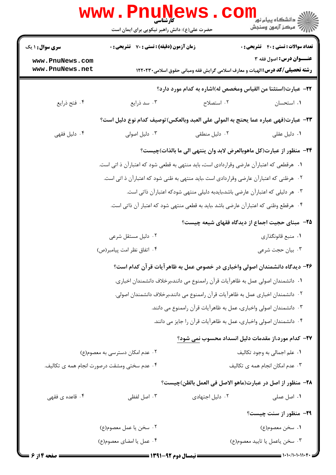|                                    | www.PnuNews<br>حضرت علی(ع): دانش راهبر نیکویی برای ایمان است                             |                 | ر دانشڪاه پيام نور <mark>−</mark><br>// مرکز آزمون وسنڊش                                                               |
|------------------------------------|------------------------------------------------------------------------------------------|-----------------|------------------------------------------------------------------------------------------------------------------------|
| <b>سری سوال : ۱ یک</b>             | <b>زمان آزمون (دقیقه) : تستی : 70 قشریحی : 0</b>                                         |                 | <b>تعداد سوالات : تستي : 40 قشريحي : 0</b>                                                                             |
| www.PnuNews.com<br>www.PnuNews.net |                                                                                          |                 | <b>عنـــوان درس:</b> اصول فقه ۳<br><b>رشته تحصیلی/گد درس:</b> الهیات و معارف اسلامی گرایش فقه ومبانی حقوق اسلامی۲۲۰۲۳۰ |
|                                    |                                                                                          |                 | <b>۲۲</b> – عبارت(استثنا من القياس ومخصص له)اشاره به كدام مورد دارد؟                                                   |
| ۰۴ فتح ذرايع                       | ۰۳ سد ذرایع                                                                              | ۰۲ استصلاح      | ٠١. استحسان                                                                                                            |
|                                    | ٢٣- عبارت(فهي عباره عما يحتج به المولى على العبد وبالعكس)توصيف كدام نوع دليل است؟        |                 |                                                                                                                        |
| ۰۴ دلیل فقهی                       | ۰۳ دلیل اصولی                                                                            | ٠٢ دليل منطقى   | ۰۱ دلیل عقلی                                                                                                           |
|                                    |                                                                                          |                 | ٢۴– منظور از عبارت(كل ماهوبالعرض لابد وان ينتهي الى ما بالذات)چيست؟                                                    |
|                                    | ۰۱ هرقطعی که اعتبارآن عارضی وقراردادی است، باید منتهی به قطعی شود که اعتبارآن ذ اتی است. |                 |                                                                                                                        |
|                                    | ۰۲ هرظنی که اعتبارآن عارضی وقراردادی است ،باید منتهی به ظنی شود که اعتبارآن ذ اتی است.   |                 |                                                                                                                        |
|                                    |                                                                                          |                 | ۰۳ هر دلیلی که اعتبارآن عارضی باشد،بایدبه دلیلی منتهی شودکه اعتبارآن ذاتی است.                                         |
|                                    | ۰۴ هرقطع وظنی که اعتبارآن عارضی باشد ،باید به قطعی منتهی شود که اعتبار آن ذاتی است.      |                 |                                                                                                                        |
|                                    |                                                                                          |                 | <b>۲۵</b> – مبنای حجیت اجماع از دیدگاه فقهای شیعه چیست؟                                                                |
|                                    | ۰۲ دلیل مستقل شرعی                                                                       |                 | ۰۱ منبع قانونگذاری                                                                                                     |
|                                    | ۰۴ اتفاق نظر امت پیامبر(ص)                                                               |                 | ۰۳ بیان حجت شرعی                                                                                                       |
|                                    |                                                                                          |                 | ۲۶– دیدگاه دانشمندان اصولی واخباری در خصوص عمل به ظاهر آیات قر آن کدام است؟                                            |
|                                    |                                                                                          |                 | ٠١ دانشمندان اصولي عمل به ظاهرآيات قرآن راممنوع مي دانند،برخلاف دانشمندان اخباري.                                      |
|                                    |                                                                                          |                 | ٠٢ دانشمندان اخباري عمل به ظاهرآيات قرآن راممنوع مي دانند،برخلاف دانشمندان اصولي.                                      |
|                                    |                                                                                          |                 | ۰۳ دانشمندان اصولی واخباری، عمل به ظاهرآیات قرآن راممنوع می دانند.                                                     |
|                                    |                                                                                          |                 | ۰۴ دانشمندان اصولی واخباری، عمل به ظاهرآیات قرآن را جایز می دانند.                                                     |
|                                    |                                                                                          |                 | ۲۷– کدام مورد،از مقدمات دلیل انسداد محسوب نمی شود؟                                                                     |
|                                    | ۲. عدم امکان دسترسی به معصوم(ع)                                                          |                 | ٠١. علم اجمالي به وجود تكاليف                                                                                          |
|                                    | ۰۴ عدم سختی ومشقت درصورت انجام همه ی تکالیف.                                             |                 | ۰۳ عدم امکان انجام همه ی تکالیف                                                                                        |
|                                    |                                                                                          |                 | ٢٨– منظور از اصل در عبارت(ماهو الاصل في العمل بالظن)چيست؟                                                              |
| ۰۴ قاعده ی فقهی                    | ۰۳ اصل لفظی                                                                              | ۰۲ دلیل اجتهادی | ۰۱ اصل عملی                                                                                                            |
|                                    |                                                                                          |                 | <b>۲۹</b> - منظور از سنت چیست؟                                                                                         |
|                                    | ٠٢ سخن يا عمل معصوم(ع)                                                                   |                 | ۰۱ سخن معصوم(ع)                                                                                                        |
|                                    | ۰۴ عمل يا امضاى معصوم(ع)                                                                 |                 | ٠٣ سخن ياعمل يا تاييد معصوم(ع)                                                                                         |
| صفحه 4 از 6 =                      |                                                                                          |                 | = ۱۰۱۰/۱۰۱۰۱۱۰۴۰ =                                                                                                     |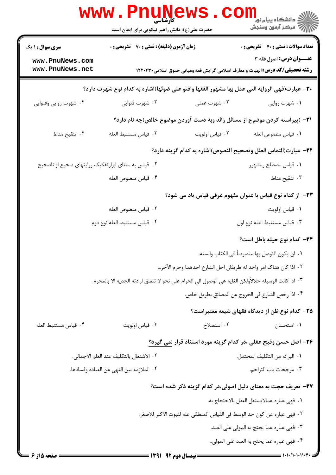|                                                     | www.PnuNews<br>حضرت علی(ع): دانش راهبر نیکویی برای ایمان است                                          |                                                                                     | دانشگاه پيام نو <mark>.</mark><br>ا∰ مرکز آزمون وسنجش |
|-----------------------------------------------------|-------------------------------------------------------------------------------------------------------|-------------------------------------------------------------------------------------|-------------------------------------------------------|
| سری سوال: ۱ یک                                      | زمان آزمون (دقیقه) : تستی : 70 گشریحی : 0                                                             |                                                                                     | <b>تعداد سوالات : تستی : 40 قشریحی : 0</b>            |
| www.PnuNews.com<br>www.PnuNews.net                  |                                                                                                       | <b>رشته تحصیلی/کد درس:</b> الهیات و معارف اسلامی گرایش فقه ومبانی حقوق اسلامی۲۲۰۲۳۰ | <b>عنــوان درس:</b> اصول فقه ۳                        |
|                                                     |                                                                                                       |                                                                                     |                                                       |
|                                                     | ۳۰– عبارت(فهي الروايه التي عمل بها مشهور الفقها وافتو على ضوئها)اشاره به كدام نوع شهرت دارد؟          |                                                                                     |                                                       |
| ۰۴ شهرت روایی وفتوایی                               | ۰۳ شهرت فتوايي                                                                                        | ۰۲ شهرت عملی                                                                        | ۰۱ شهرت روایی                                         |
|                                                     |                                                                                                       | ۳۱– (پیراسته کردن موضوع از مسائل زائد وبه دست آوردن موضوع خالص)چه نام دارد؟         |                                                       |
| ۰۴ تنقيح مناط                                       | ٠٣ قياس مستنبط العله                                                                                  | ٠٢ قياس اولويت                                                                      | ٠١ قياس منصوص العله                                   |
|                                                     |                                                                                                       | ٣٢- عبارت(التماس العلل وتصحيح النصوص)اشاره به كدام گزينه دارد؟                      |                                                       |
| ۰۲ قیاس به معنای ابزارتفکیک روایتهای صحیح از ناصحیح |                                                                                                       |                                                                                     | ٠١ قياس مصطلح ومشهور                                  |
|                                                     | ۰۴ قياس منصوص العله                                                                                   |                                                                                     | ۰۳ تنقیح مناط                                         |
|                                                     |                                                                                                       | ۳۳– از کدام نوع قیاس با عنوان مفهوم عرفی قیاس یاد می شود؟                           |                                                       |
|                                                     | ٠٢ قياس منصوص العله                                                                                   |                                                                                     | ٠١ قياس اولويت                                        |
|                                                     | ۰۴ قياس مستنبط العله نوع دوم                                                                          |                                                                                     | ٠٣ قياس مستنبط العله نوع اول                          |
|                                                     |                                                                                                       |                                                                                     | ٣۴- كدام نوع حيله باطل است؟                           |
|                                                     |                                                                                                       |                                                                                     | ٠١ ان يكون التوصل بها منصوصاً في الكتاب والسنه.       |
|                                                     |                                                                                                       | ٢.  اذا كان هناك امر واحد له طريقان احل الشارع احدهما وحرم الآخر…                   |                                                       |
|                                                     | ٠٣ اذا كانت الوسيله حلالأولكن الغايه هي الوصول الى الحرام على نحو لا تتعلق ارادته الجديه الا بالمحرم. |                                                                                     |                                                       |
|                                                     | ٠۴ اذا رخص الشارع في الخروج عن المصائق بطريق خاص.                                                     |                                                                                     |                                                       |
|                                                     |                                                                                                       |                                                                                     | ۳۵– کدام نوع ظن از دیدگاه فقهای شیعه معتبراست؟        |
| ۰۴ قياس مستنبط العله                                | ۰۳ قياس اولويت                                                                                        | ۰۲ استصلاح                                                                          | ۰۱ استحسان                                            |
|                                                     |                                                                                                       | ۳۶- اصل حسن وقبح عقلی ،در کدام گزینه مورد استناد قرار نمی گیرد؟                     |                                                       |
|                                                     | ٢. الاشتغال بالتكليف عند العلم الاجمالي.                                                              |                                                                                     | ٠١ البرائه من التكليف المحتمل.                        |
|                                                     | ٠۴ الملازمه بين النهي عن العباده وفسادها.                                                             |                                                                                     | ۰۳ مرجحات باب التزاحم.                                |
|                                                     |                                                                                                       | ۳۷– تعریف حجت به معنای دلیل اصولی،در کدام گزینه ذکر شده است؟                        |                                                       |
|                                                     |                                                                                                       |                                                                                     | ٠١ فهي عباره عمالايستقل العقل بالاحتجاج به.           |
|                                                     |                                                                                                       | ٢. فهي عباره عن كون حد الوسط في القياس المنطقي عله لثبوت الاكبر للاصغر.             |                                                       |
| ٣. فهي عباره عما يحتج به المولى على العبد.          |                                                                                                       |                                                                                     |                                                       |
|                                                     |                                                                                                       |                                                                                     | ۴. فهي عباره عما يحتج به العبد على المولى             |
| = صفحه ۱۵ از ۶                                      |                                                                                                       | ــــــــــــــــ نیمسال دهم ۹۲-۱۳۹۱ -                                               |                                                       |